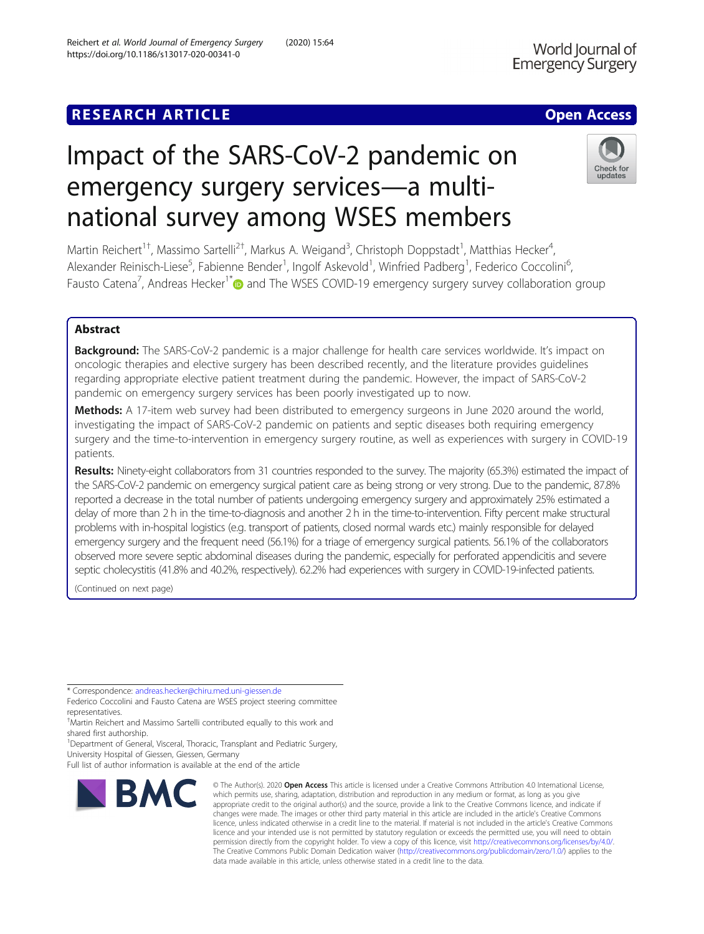# Impact of the SARS-CoV-2 pandemic on emergency surgery services—a multinational survey among WSES members

Martin Reichert<sup>1†</sup>, Massimo Sartelli<sup>2†</sup>, Markus A. Weigand<sup>3</sup>, Christoph Doppstadt<sup>1</sup>, Matthias Hecker<sup>4</sup> , Alexander Reinisch-Liese<sup>5</sup>, Fabienne Bender<sup>1</sup>, Ingolf Askevold<sup>1</sup>, Winfried Padberg<sup>1</sup>, Federico Coccolini<sup>6</sup> , Fausto Catena<sup>7</sup>, Andreas Hecker<sup>1[\\*](http://orcid.org/0000-0002-7704-7494)</sup> $\bullet$  and The WSES COVID-19 emergency surgery survey collaboration group

# Abstract

**Background:** The SARS-CoV-2 pandemic is a major challenge for health care services worldwide. It's impact on oncologic therapies and elective surgery has been described recently, and the literature provides guidelines regarding appropriate elective patient treatment during the pandemic. However, the impact of SARS-CoV-2 pandemic on emergency surgery services has been poorly investigated up to now.

Methods: A 17-item web survey had been distributed to emergency surgeons in June 2020 around the world, investigating the impact of SARS-CoV-2 pandemic on patients and septic diseases both requiring emergency surgery and the time-to-intervention in emergency surgery routine, as well as experiences with surgery in COVID-19 patients.

Results: Ninety-eight collaborators from 31 countries responded to the survey. The majority (65.3%) estimated the impact of the SARS-CoV-2 pandemic on emergency surgical patient care as being strong or very strong. Due to the pandemic, 87.8% reported a decrease in the total number of patients undergoing emergency surgery and approximately 25% estimated a delay of more than 2 h in the time-to-diagnosis and another 2 h in the time-to-intervention. Fifty percent make structural problems with in-hospital logistics (e.g. transport of patients, closed normal wards etc.) mainly responsible for delayed emergency surgery and the frequent need (56.1%) for a triage of emergency surgical patients. 56.1% of the collaborators observed more severe septic abdominal diseases during the pandemic, especially for perforated appendicitis and severe septic cholecystitis (41.8% and 40.2%, respectively). 62.2% had experiences with surgery in COVID-19-infected patients.

© The Author(s), 2020 **Open Access** This article is licensed under a Creative Commons Attribution 4.0 International License,

The Creative Commons Public Domain Dedication waiver [\(http://creativecommons.org/publicdomain/zero/1.0/](http://creativecommons.org/publicdomain/zero/1.0/)) applies to the

data made available in this article, unless otherwise stated in a credit line to the data.

(Continued on next page)

\* Correspondence: [andreas.hecker@chiru.med.uni-giessen.de](mailto:andreas.hecker@chiru.med.uni-giessen.de)

Federico Coccolini and Fausto Catena are WSES project steering committee representatives.

† Martin Reichert and Massimo Sartelli contributed equally to this work and shared first authorship.

<sup>1</sup>Department of General, Visceral, Thoracic, Transplant and Pediatric Surgery,

University Hospital of Giessen, Giessen, Germany

Full list of author information is available at the end of the article



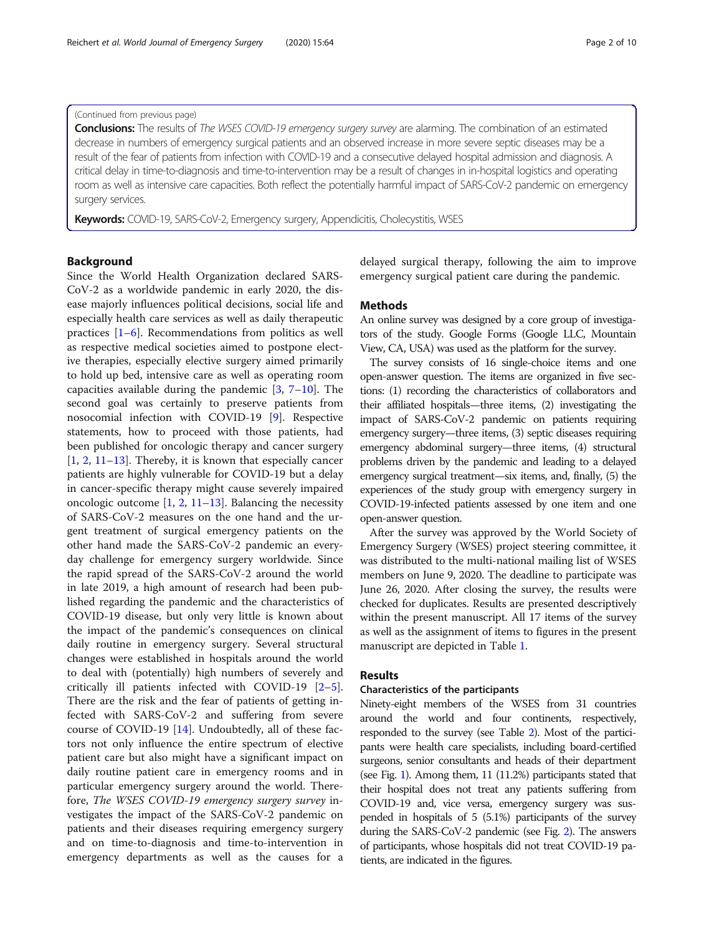### (Continued from previous page)

Conclusions: The results of The WSES COVID-19 emergency surgery survey are alarming. The combination of an estimated decrease in numbers of emergency surgical patients and an observed increase in more severe septic diseases may be a result of the fear of patients from infection with COVID-19 and a consecutive delayed hospital admission and diagnosis. A critical delay in time-to-diagnosis and time-to-intervention may be a result of changes in in-hospital logistics and operating room as well as intensive care capacities. Both reflect the potentially harmful impact of SARS-CoV-2 pandemic on emergency surgery services.

Keywords: COVID-19, SARS-CoV-2, Emergency surgery, Appendicitis, Cholecystitis, WSES

## Background

Since the World Health Organization declared SARS-CoV-2 as a worldwide pandemic in early 2020, the disease majorly influences political decisions, social life and especially health care services as well as daily therapeutic practices  $[1-6]$  $[1-6]$  $[1-6]$  $[1-6]$ . Recommendations from politics as well as respective medical societies aimed to postpone elective therapies, especially elective surgery aimed primarily to hold up bed, intensive care as well as operating room capacities available during the pandemic  $[3, 7-10]$  $[3, 7-10]$  $[3, 7-10]$  $[3, 7-10]$  $[3, 7-10]$  $[3, 7-10]$ . The second goal was certainly to preserve patients from nosocomial infection with COVID-19 [\[9\]](#page-9-0). Respective statements, how to proceed with those patients, had been published for oncologic therapy and cancer surgery [[1,](#page-9-0) [2](#page-9-0), [11](#page-9-0)–[13\]](#page-9-0). Thereby, it is known that especially cancer patients are highly vulnerable for COVID-19 but a delay in cancer-specific therapy might cause severely impaired oncologic outcome  $\left[1, 2, 11-13\right]$  $\left[1, 2, 11-13\right]$  $\left[1, 2, 11-13\right]$  $\left[1, 2, 11-13\right]$  $\left[1, 2, 11-13\right]$  $\left[1, 2, 11-13\right]$  $\left[1, 2, 11-13\right]$  $\left[1, 2, 11-13\right]$  $\left[1, 2, 11-13\right]$ . Balancing the necessity of SARS-CoV-2 measures on the one hand and the urgent treatment of surgical emergency patients on the other hand made the SARS-CoV-2 pandemic an everyday challenge for emergency surgery worldwide. Since the rapid spread of the SARS-CoV-2 around the world in late 2019, a high amount of research had been published regarding the pandemic and the characteristics of COVID-19 disease, but only very little is known about the impact of the pandemic's consequences on clinical daily routine in emergency surgery. Several structural changes were established in hospitals around the world to deal with (potentially) high numbers of severely and critically ill patients infected with COVID-19 [\[2](#page-9-0)–[5](#page-9-0)]. There are the risk and the fear of patients of getting infected with SARS-CoV-2 and suffering from severe course of COVID-19 [[14](#page-9-0)]. Undoubtedly, all of these factors not only influence the entire spectrum of elective patient care but also might have a significant impact on daily routine patient care in emergency rooms and in particular emergency surgery around the world. Therefore, The WSES COVID-19 emergency surgery survey investigates the impact of the SARS-CoV-2 pandemic on patients and their diseases requiring emergency surgery and on time-to-diagnosis and time-to-intervention in emergency departments as well as the causes for a

delayed surgical therapy, following the aim to improve emergency surgical patient care during the pandemic.

## Methods

An online survey was designed by a core group of investigators of the study. Google Forms (Google LLC, Mountain View, CA, USA) was used as the platform for the survey.

The survey consists of 16 single-choice items and one open-answer question. The items are organized in five sections: (1) recording the characteristics of collaborators and their affiliated hospitals—three items, (2) investigating the impact of SARS-CoV-2 pandemic on patients requiring emergency surgery—three items, (3) septic diseases requiring emergency abdominal surgery—three items, (4) structural problems driven by the pandemic and leading to a delayed emergency surgical treatment—six items, and, finally, (5) the experiences of the study group with emergency surgery in COVID-19-infected patients assessed by one item and one open-answer question.

After the survey was approved by the World Society of Emergency Surgery (WSES) project steering committee, it was distributed to the multi-national mailing list of WSES members on June 9, 2020. The deadline to participate was June 26, 2020. After closing the survey, the results were checked for duplicates. Results are presented descriptively within the present manuscript. All 17 items of the survey as well as the assignment of items to figures in the present manuscript are depicted in Table [1](#page-2-0).

# Results

## Characteristics of the participants

Ninety-eight members of the WSES from 31 countries around the world and four continents, respectively, responded to the survey (see Table [2\)](#page-2-0). Most of the participants were health care specialists, including board-certified surgeons, senior consultants and heads of their department (see Fig. [1](#page-3-0)). Among them, 11 (11.2%) participants stated that their hospital does not treat any patients suffering from COVID-19 and, vice versa, emergency surgery was suspended in hospitals of 5 (5.1%) participants of the survey during the SARS-CoV-2 pandemic (see Fig. [2\)](#page-3-0). The answers of participants, whose hospitals did not treat COVID-19 patients, are indicated in the figures.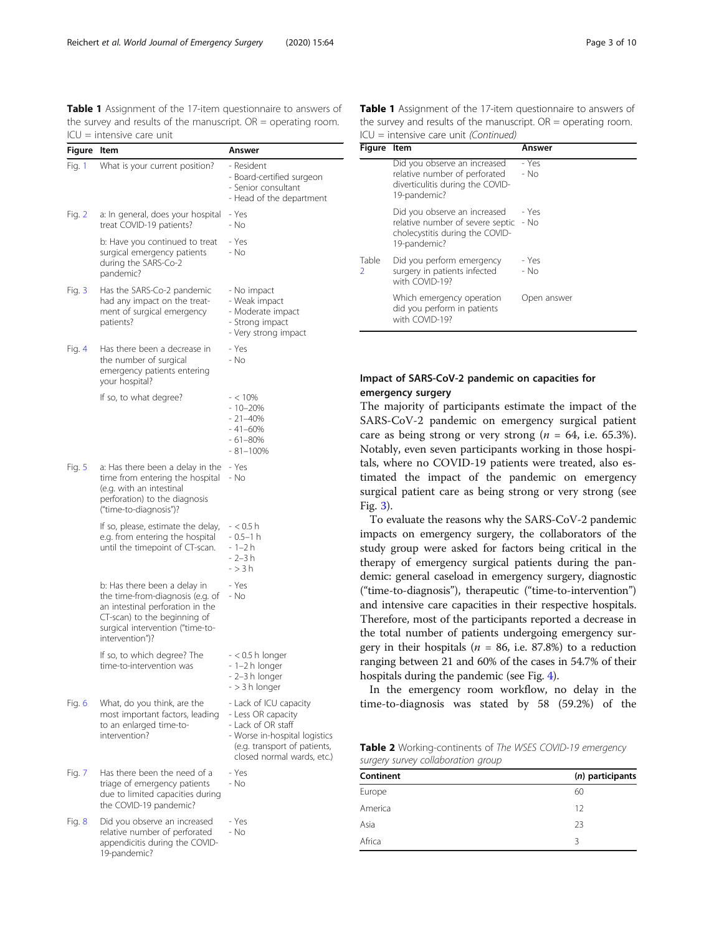<span id="page-2-0"></span>Table 1 Assignment of the 17-item questionnaire to answers of the survey and results of the manuscript.  $OR =$  operating room. ICU = intensive care unit

| Figure | Item                                                                                                                                                                                        | Answer                                                                                                                                                            |  |  |
|--------|---------------------------------------------------------------------------------------------------------------------------------------------------------------------------------------------|-------------------------------------------------------------------------------------------------------------------------------------------------------------------|--|--|
| Fig. 1 | What is your current position?                                                                                                                                                              | - Resident<br>- Board-certified surgeon<br>- Senior consultant<br>- Head of the department                                                                        |  |  |
| Fig. 2 | a: In general, does your hospital<br>treat COVID-19 patients?                                                                                                                               | - Yes<br>- No                                                                                                                                                     |  |  |
|        | b: Have you continued to treat<br>surgical emergency patients<br>during the SARS-Co-2<br>pandemic?                                                                                          | - Yes<br>- No                                                                                                                                                     |  |  |
| Fig. 3 | Has the SARS-Co-2 pandemic<br>had any impact on the treat-<br>ment of surgical emergency<br>patients?                                                                                       | - No impact<br>- Weak impact<br>- Moderate impact<br>- Strong impact<br>- Very strong impact                                                                      |  |  |
| Fig. 4 | Has there been a decrease in<br>the number of surgical<br>emergency patients entering<br>your hospital?                                                                                     | - Yes<br>- No                                                                                                                                                     |  |  |
|        | If so, to what degree?                                                                                                                                                                      | $- < 10\%$<br>- 10–20%<br>$-21 - 40%$<br>$-41 - 60%$<br>$-61 - 80%$<br>- 81-100%                                                                                  |  |  |
| Fig. 5 | a: Has there been a delay in the<br>time from entering the hospital<br>(e.g. with an intestinal<br>perforation) to the diagnosis<br>("time-to-diagnosis")?                                  | - Yes<br>- No                                                                                                                                                     |  |  |
|        | If so, please, estimate the delay,<br>e.g. from entering the hospital<br>until the timepoint of CT-scan.                                                                                    | - < 0.5 h<br>- 0.5–1 h<br>- 1–2 h<br>- 2–3 h<br>->3h                                                                                                              |  |  |
|        | b: Has there been a delay in<br>the time-from-diagnosis (e.g. of<br>an intestinal perforation in the<br>CT-scan) to the beginning of<br>surgical intervention ("time-to-<br>intervention")? | - Yes<br>- No                                                                                                                                                     |  |  |
|        | If so, to which degree? The<br>time-to-intervention was                                                                                                                                     | - < 0.5 h longer<br>- 1-2 h longer<br>- 2–3 h Ionger<br>$-$ > 3 h longer                                                                                          |  |  |
| Fig. 6 | What, do you think, are the<br>most important factors, leading<br>to an enlarged time-to-<br>intervention?                                                                                  | - Lack of ICU capacity<br>- Less OR capacity<br>- Lack of OR staff<br>- Worse in-hospital logistics<br>(e.g. transport of patients,<br>closed normal wards, etc.) |  |  |
| Fig. 7 | Has there been the need of a<br>triage of emergency patients<br>due to limited capacities during<br>the COVID-19 pandemic?                                                                  | - Yes<br>- No                                                                                                                                                     |  |  |
| Fig. 8 | Did you observe an increased<br>relative number of perforated<br>appendicitis during the COVID-                                                                                             | - Yes<br>- No                                                                                                                                                     |  |  |

19-pandemic?

Table 1 Assignment of the 17-item questionnaire to answers of the survey and results of the manuscript.  $OR =$  operating room. ICU = intensive care unit (Continued)

| Figure | Item                                                                                                                | Answer          |  |  |
|--------|---------------------------------------------------------------------------------------------------------------------|-----------------|--|--|
|        | Did you observe an increased<br>relative number of perforated<br>diverticulitis during the COVID-<br>19-pandemic?   | - Yes<br>$-$ No |  |  |
|        | Did you observe an increased<br>relative number of severe septic<br>cholecystitis during the COVID-<br>19-pandemic? | - Yes<br>- No   |  |  |
| Table  | Did you perform emergency<br>surgery in patients infected<br>with COVID-19?                                         | - Yes<br>- No   |  |  |
|        | Which emergency operation<br>did you perform in patients<br>with COVID-19?                                          | Open answer     |  |  |

# Impact of SARS-CoV-2 pandemic on capacities for emergency surgery

The majority of participants estimate the impact of the SARS-CoV-2 pandemic on emergency surgical patient care as being strong or very strong  $(n = 64, i.e. 65.3\%).$ Notably, even seven participants working in those hospitals, where no COVID-19 patients were treated, also estimated the impact of the pandemic on emergency surgical patient care as being strong or very strong (see Fig. [3](#page-4-0)).

To evaluate the reasons why the SARS-CoV-2 pandemic impacts on emergency surgery, the collaborators of the study group were asked for factors being critical in the therapy of emergency surgical patients during the pandemic: general caseload in emergency surgery, diagnostic ("time-to-diagnosis"), therapeutic ("time-to-intervention") and intensive care capacities in their respective hospitals. Therefore, most of the participants reported a decrease in the total number of patients undergoing emergency surgery in their hospitals ( $n = 86$ , i.e. 87.8%) to a reduction ranging between 21 and 60% of the cases in 54.7% of their hospitals during the pandemic (see Fig. [4](#page-4-0)).

In the emergency room workflow, no delay in the time-to-diagnosis was stated by 58 (59.2%) of the

Table 2 Working-continents of The WSES COVID-19 emergency surgery survey collaboration group

| Continent | (n) participants |  |  |  |
|-----------|------------------|--|--|--|
| Europe    | 60               |  |  |  |
| America   | 12               |  |  |  |
| Asia      | 23               |  |  |  |
| Africa    | 3                |  |  |  |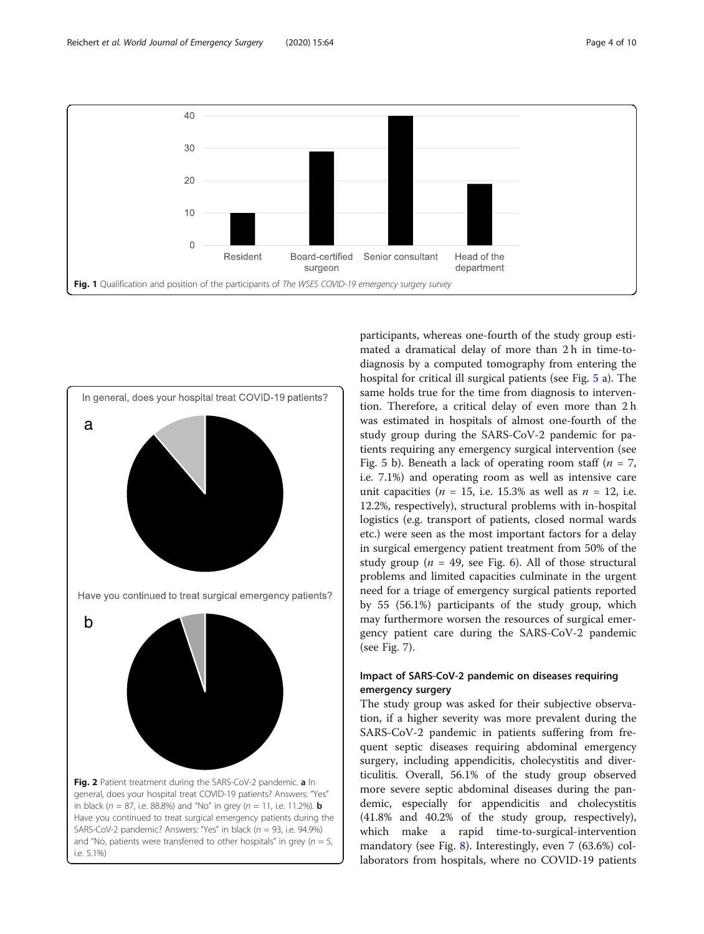<span id="page-3-0"></span>



participants, whereas one-fourth of the study group estimated a dramatical delay of more than 2 h in time-todiagnosis by a computed tomography from entering the hospital for critical ill surgical patients (see Fig. [5](#page-5-0) a). The same holds true for the time from diagnosis to intervention. Therefore, a critical delay of even more than 2 h was estimated in hospitals of almost one-fourth of the study group during the SARS-CoV-2 pandemic for patients requiring any emergency surgical intervention (see Fig. [5](#page-5-0) b). Beneath a lack of operating room staff ( $n = 7$ , i.e. 7.1%) and operating room as well as intensive care unit capacities ( $n = 15$ , i.e. 15.3% as well as  $n = 12$ , i.e. 12.2%, respectively), structural problems with in-hospital logistics (e.g. transport of patients, closed normal wards etc.) were seen as the most important factors for a delay in surgical emergency patient treatment from 50% of the study group ( $n = 49$ , see Fig. [6](#page-5-0)). All of those structural problems and limited capacities culminate in the urgent need for a triage of emergency surgical patients reported by 55 (56.1%) participants of the study group, which may furthermore worsen the resources of surgical emergency patient care during the SARS-CoV-2 pandemic (see Fig. [7\)](#page-6-0).

# Impact of SARS-CoV-2 pandemic on diseases requiring emergency surgery

The study group was asked for their subjective observation, if a higher severity was more prevalent during the SARS-CoV-2 pandemic in patients suffering from frequent septic diseases requiring abdominal emergency surgery, including appendicitis, cholecystitis and diverticulitis. Overall, 56.1% of the study group observed more severe septic abdominal diseases during the pandemic, especially for appendicitis and cholecystitis (41.8% and 40.2% of the study group, respectively), which make a rapid time-to-surgical-intervention mandatory (see Fig. [8](#page-6-0)). Interestingly, even 7 (63.6%) collaborators from hospitals, where no COVID-19 patients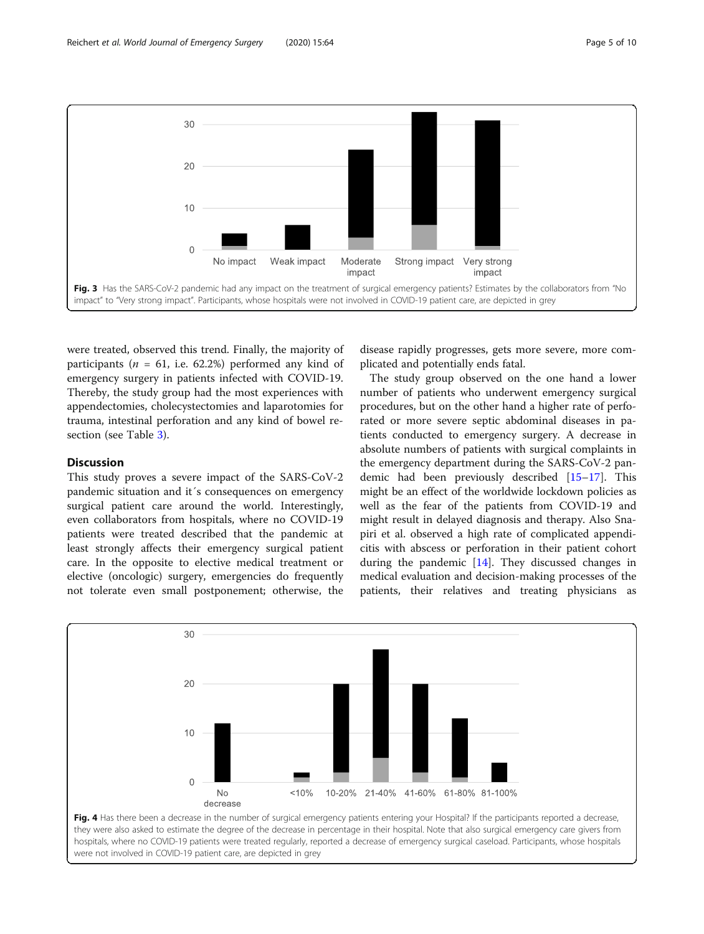<span id="page-4-0"></span>

were treated, observed this trend. Finally, the majority of participants ( $n = 61$ , i.e. 62.2%) performed any kind of emergency surgery in patients infected with COVID-19. Thereby, the study group had the most experiences with appendectomies, cholecystectomies and laparotomies for trauma, intestinal perforation and any kind of bowel resection (see Table [3\)](#page-7-0).

# Discussion

This study proves a severe impact of the SARS-CoV-2 pandemic situation and it´s consequences on emergency surgical patient care around the world. Interestingly, even collaborators from hospitals, where no COVID-19 patients were treated described that the pandemic at least strongly affects their emergency surgical patient care. In the opposite to elective medical treatment or elective (oncologic) surgery, emergencies do frequently not tolerate even small postponement; otherwise, the

disease rapidly progresses, gets more severe, more complicated and potentially ends fatal.

The study group observed on the one hand a lower number of patients who underwent emergency surgical procedures, but on the other hand a higher rate of perforated or more severe septic abdominal diseases in patients conducted to emergency surgery. A decrease in absolute numbers of patients with surgical complaints in the emergency department during the SARS-CoV-2 pandemic had been previously described [\[15](#page-9-0)–[17](#page-9-0)]. This might be an effect of the worldwide lockdown policies as well as the fear of the patients from COVID-19 and might result in delayed diagnosis and therapy. Also Snapiri et al. observed a high rate of complicated appendicitis with abscess or perforation in their patient cohort during the pandemic [\[14\]](#page-9-0). They discussed changes in medical evaluation and decision-making processes of the patients, their relatives and treating physicians as

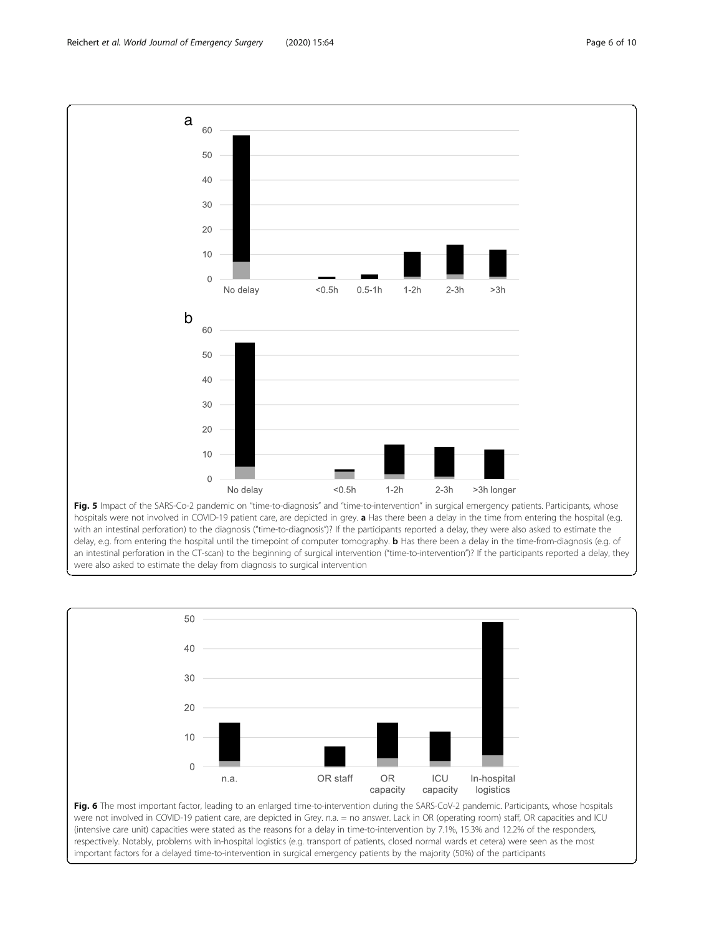<span id="page-5-0"></span>

hospitals were not involved in COVID-19 patient care, are depicted in grey. a Has there been a delay in the time from entering the hospital (e.g. with an intestinal perforation) to the diagnosis ("time-to-diagnosis")? If the participants reported a delay, they were also asked to estimate the delay, e.g. from entering the hospital until the timepoint of computer tomography. **b** Has there been a delay in the time-from-diagnosis (e.g. of an intestinal perforation in the CT-scan) to the beginning of surgical intervention ("time-to-intervention")? If the participants reported a delay, they were also asked to estimate the delay from diagnosis to surgical intervention



(intensive care unit) capacities were stated as the reasons for a delay in time-to-intervention by 7.1%, 15.3% and 12.2% of the responders, respectively. Notably, problems with in-hospital logistics (e.g. transport of patients, closed normal wards et cetera) were seen as the most important factors for a delayed time-to-intervention in surgical emergency patients by the majority (50%) of the participants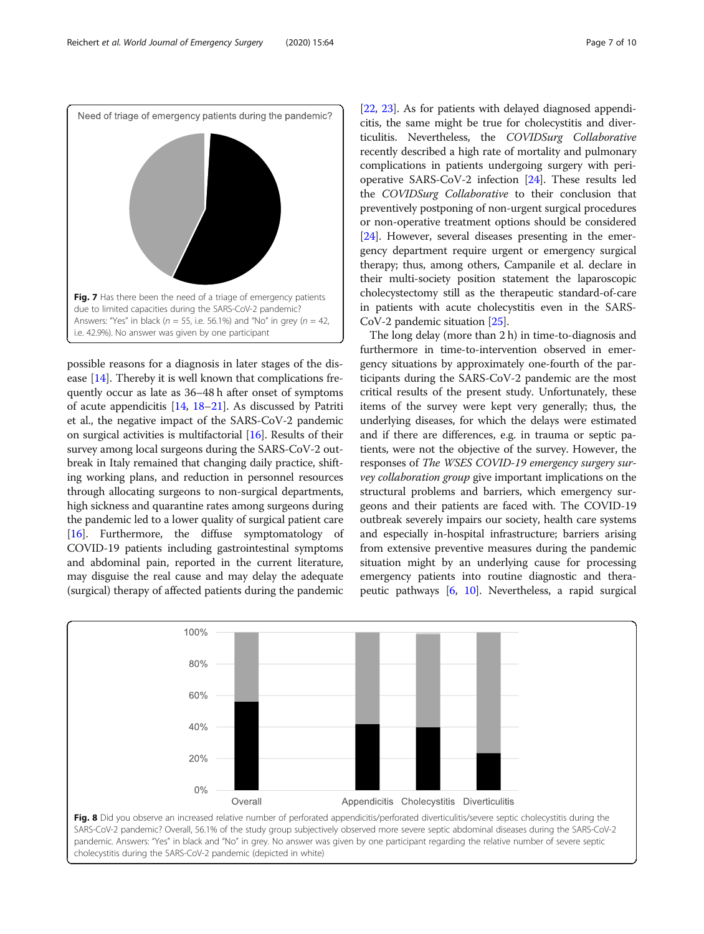<span id="page-6-0"></span>

possible reasons for a diagnosis in later stages of the disease [[14\]](#page-9-0). Thereby it is well known that complications frequently occur as late as 36–48 h after onset of symptoms of acute appendicitis [[14](#page-9-0), [18](#page-9-0)–[21](#page-9-0)]. As discussed by Patriti et al., the negative impact of the SARS-CoV-2 pandemic on surgical activities is multifactorial [\[16\]](#page-9-0). Results of their survey among local surgeons during the SARS-CoV-2 outbreak in Italy remained that changing daily practice, shifting working plans, and reduction in personnel resources through allocating surgeons to non-surgical departments, high sickness and quarantine rates among surgeons during the pandemic led to a lower quality of surgical patient care [[16](#page-9-0)]. Furthermore, the diffuse symptomatology of COVID-19 patients including gastrointestinal symptoms and abdominal pain, reported in the current literature, may disguise the real cause and may delay the adequate (surgical) therapy of affected patients during the pandemic

[[22](#page-9-0), [23\]](#page-9-0). As for patients with delayed diagnosed appendicitis, the same might be true for cholecystitis and diverticulitis. Nevertheless, the COVIDSurg Collaborative recently described a high rate of mortality and pulmonary complications in patients undergoing surgery with perioperative SARS-CoV-2 infection [\[24\]](#page-9-0). These results led the COVIDSurg Collaborative to their conclusion that preventively postponing of non-urgent surgical procedures or non-operative treatment options should be considered [[24](#page-9-0)]. However, several diseases presenting in the emergency department require urgent or emergency surgical therapy; thus, among others, Campanile et al. declare in their multi-society position statement the laparoscopic cholecystectomy still as the therapeutic standard-of-care in patients with acute cholecystitis even in the SARS-CoV-2 pandemic situation [\[25\]](#page-9-0).

The long delay (more than 2 h) in time-to-diagnosis and furthermore in time-to-intervention observed in emergency situations by approximately one-fourth of the participants during the SARS-CoV-2 pandemic are the most critical results of the present study. Unfortunately, these items of the survey were kept very generally; thus, the underlying diseases, for which the delays were estimated and if there are differences, e.g. in trauma or septic patients, were not the objective of the survey. However, the responses of The WSES COVID-19 emergency surgery survey collaboration group give important implications on the structural problems and barriers, which emergency surgeons and their patients are faced with. The COVID-19 outbreak severely impairs our society, health care systems and especially in-hospital infrastructure; barriers arising from extensive preventive measures during the pandemic situation might by an underlying cause for processing emergency patients into routine diagnostic and therapeutic pathways [\[6](#page-9-0), [10](#page-9-0)]. Nevertheless, a rapid surgical

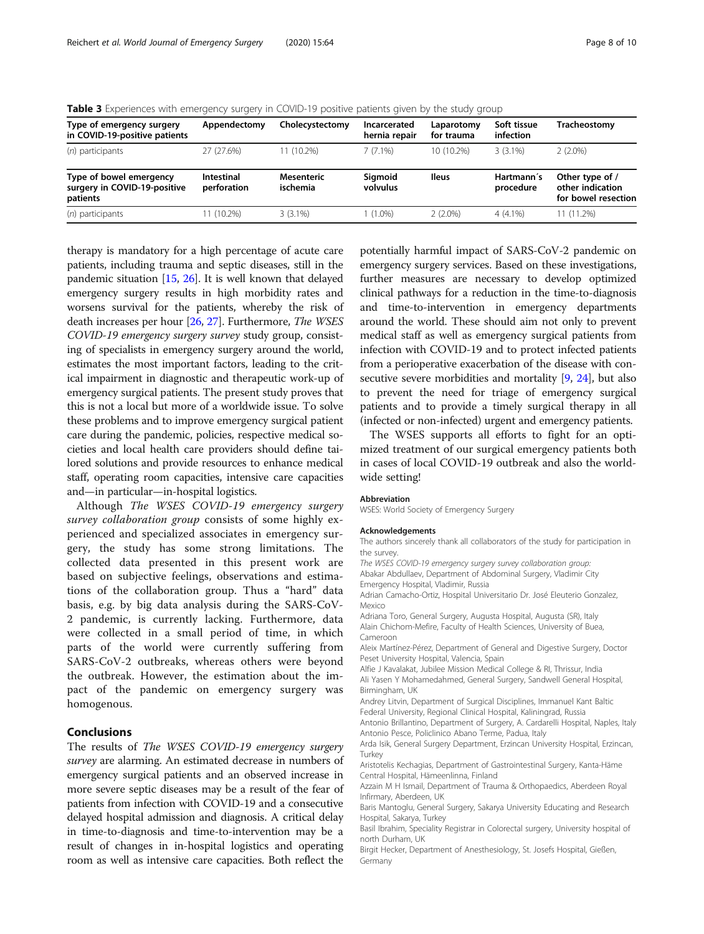| Appendectomy              | Cholecystectomy               | Incarcerated<br>hernia repair | Laparotomy<br>for trauma | Soft tissue<br>infection | Tracheostomy                                               |
|---------------------------|-------------------------------|-------------------------------|--------------------------|--------------------------|------------------------------------------------------------|
| 27 (27.6%)                | 11 (10.2%)                    | $7(7.1\%)$                    | 10 (10.2%)               | $3(3.1\%)$               | $2(2.0\%)$                                                 |
| Intestinal<br>perforation | <b>Mesenteric</b><br>ischemia | Sigmoid<br>volvulus           | lleus                    | Hartmann's<br>procedure  | Other type of /<br>other indication<br>for bowel resection |
| 11 (10.2%)                | $3(3.1\%)$                    | $1(1.0\%)$                    | $2(2.0\%)$               | $4(4.1\%)$               | 11 (11.2%)                                                 |
|                           |                               |                               |                          |                          |                                                            |

<span id="page-7-0"></span>**Table 3** Experiences with emergency surgery in COVID-19 positive patients given by the study group

therapy is mandatory for a high percentage of acute care patients, including trauma and septic diseases, still in the pandemic situation [\[15,](#page-9-0) [26\]](#page-9-0). It is well known that delayed emergency surgery results in high morbidity rates and worsens survival for the patients, whereby the risk of death increases per hour [[26](#page-9-0), [27\]](#page-9-0). Furthermore, The WSES COVID-19 emergency surgery survey study group, consisting of specialists in emergency surgery around the world, estimates the most important factors, leading to the critical impairment in diagnostic and therapeutic work-up of emergency surgical patients. The present study proves that this is not a local but more of a worldwide issue. To solve these problems and to improve emergency surgical patient care during the pandemic, policies, respective medical societies and local health care providers should define tailored solutions and provide resources to enhance medical staff, operating room capacities, intensive care capacities and—in particular—in-hospital logistics.

Although The WSES COVID-19 emergency surgery survey collaboration group consists of some highly experienced and specialized associates in emergency surgery, the study has some strong limitations. The collected data presented in this present work are based on subjective feelings, observations and estimations of the collaboration group. Thus a "hard" data basis, e.g. by big data analysis during the SARS-CoV-2 pandemic, is currently lacking. Furthermore, data were collected in a small period of time, in which parts of the world were currently suffering from SARS-CoV-2 outbreaks, whereas others were beyond the outbreak. However, the estimation about the impact of the pandemic on emergency surgery was homogenous.

## Conclusions

The results of The WSES COVID-19 emergency surgery survey are alarming. An estimated decrease in numbers of emergency surgical patients and an observed increase in more severe septic diseases may be a result of the fear of patients from infection with COVID-19 and a consecutive delayed hospital admission and diagnosis. A critical delay in time-to-diagnosis and time-to-intervention may be a result of changes in in-hospital logistics and operating room as well as intensive care capacities. Both reflect the

potentially harmful impact of SARS-CoV-2 pandemic on emergency surgery services. Based on these investigations, further measures are necessary to develop optimized clinical pathways for a reduction in the time-to-diagnosis and time-to-intervention in emergency departments around the world. These should aim not only to prevent medical staff as well as emergency surgical patients from infection with COVID-19 and to protect infected patients from a perioperative exacerbation of the disease with con-secutive severe morbidities and mortality [[9,](#page-9-0) [24\]](#page-9-0), but also to prevent the need for triage of emergency surgical patients and to provide a timely surgical therapy in all (infected or non-infected) urgent and emergency patients.

The WSES supports all efforts to fight for an optimized treatment of our surgical emergency patients both in cases of local COVID-19 outbreak and also the worldwide setting!

#### Abbreviation

WSES: World Society of Emergency Surgery

#### Acknowledgements

The authors sincerely thank all collaborators of the study for participation in the survey.

The WSES COVID-19 emergency surgery survey collaboration group: Abakar Abdullaev, Department of Abdominal Surgery, Vladimir City

Emergency Hospital, Vladimir, Russia Adrian Camacho-Ortiz, Hospital Universitario Dr. José Eleuterio Gonzalez, Mexico

Adriana Toro, General Surgery, Augusta Hospital, Augusta (SR), Italy Alain Chichom-Mefire, Faculty of Health Sciences, University of Buea, Cameroon

Aleix Martínez-Pérez, Department of General and Digestive Surgery, Doctor Peset University Hospital, Valencia, Spain

Alfie J Kavalakat, Jubilee Mission Medical College & RI, Thrissur, India Ali Yasen Y Mohamedahmed, General Surgery, Sandwell General Hospital, Birmingham, UK

Andrey Litvin, Department of Surgical Disciplines, Immanuel Kant Baltic Federal University, Regional Clinical Hospital, Kaliningrad, Russia

Antonio Brillantino, Department of Surgery, A. Cardarelli Hospital, Naples, Italy Antonio Pesce, Policlinico Abano Terme, Padua, Italy

Arda Isik, General Surgery Department, Erzincan University Hospital, Erzincan, Turkey

Aristotelis Kechagias, Department of Gastrointestinal Surgery, Kanta-Häme Central Hospital, Hämeenlinna, Finland

Azzain M H Ismail, Department of Trauma & Orthopaedics, Aberdeen Royal Infirmary, Aberdeen, UK

Baris Mantoglu, General Surgery, Sakarya University Educating and Research Hospital, Sakarya, Turkey

Basil Ibrahim, Speciality Registrar in Colorectal surgery, University hospital of north Durham, UK

Birgit Hecker, Department of Anesthesiology, St. Josefs Hospital, Gießen, Germany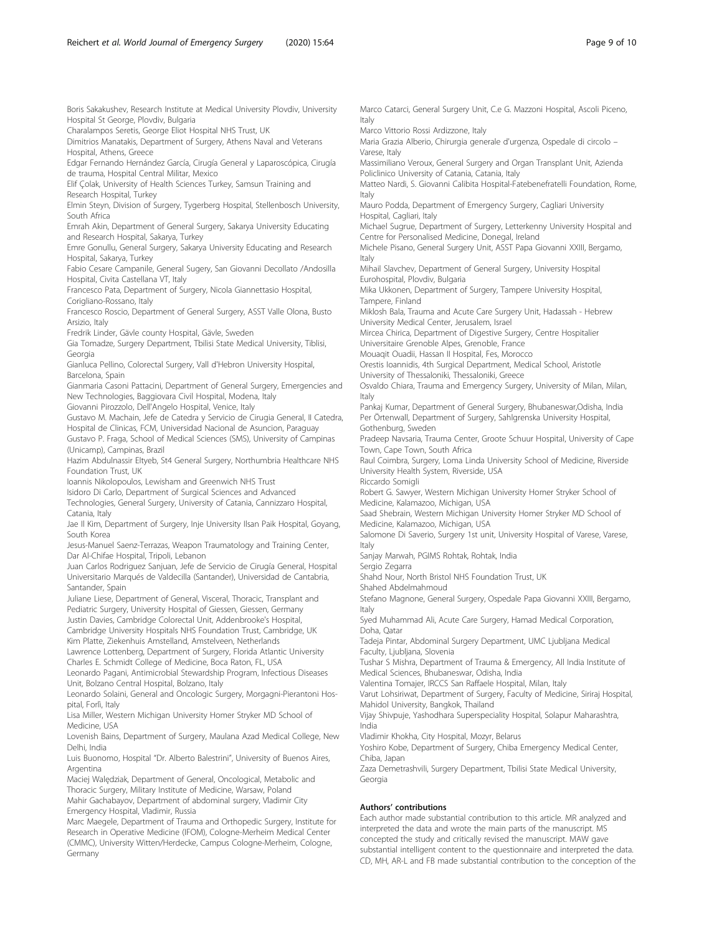Boris Sakakushev, Research Institute at Medical University Plovdiv, University Hospital St George, Plovdiv, Bulgaria

Charalampos Seretis, George Eliot Hospital NHS Trust, UK

Dimitrios Manatakis, Department of Surgery, Athens Naval and Veterans Hospital, Athens, Greece

Edgar Fernando Hernández García, Cirugía General y Laparoscópica, Cirugía de trauma, Hospital Central Militar, Mexico

Elif Çolak, University of Health Sciences Turkey, Samsun Training and Research Hospital, Turkey

Elmin Steyn, Division of Surgery, Tygerberg Hospital, Stellenbosch University, South Africa

Emrah Akin, Department of General Surgery, Sakarya University Educating and Research Hospital, Sakarya, Turkey

Emre Gonullu, General Surgery, Sakarya University Educating and Research Hospital, Sakarya, Turkey

Fabio Cesare Campanile, General Sugery, San Giovanni Decollato /Andosilla Hospital, Civita Castellana VT, Italy

Francesco Pata, Department of Surgery, Nicola Giannettasio Hospital, Corigliano-Rossano, Italy

Francesco Roscio, Department of General Surgery, ASST Valle Olona, Busto Arsizio, Italy

Fredrik Linder, Gävle county Hospital, Gävle, Sweden

Gia Tomadze, Surgery Department, Tbilisi State Medical University, Tiblisi, Georgia

Gianluca Pellino, Colorectal Surgery, Vall d'Hebron University Hospital, Barcelona, Spain

Gianmaria Casoni Pattacini, Department of General Surgery, Emergencies and New Technologies, Baggiovara Civil Hospital, Modena, Italy

Giovanni Pirozzolo, Dell'Angelo Hospital, Venice, Italy

Gustavo M. Machain, Jefe de Catedra y Servicio de Cirugia General, II Catedra, Hospital de Clinicas, FCM, Universidad Nacional de Asuncion, Paraguay Gustavo P. Fraga, School of Medical Sciences (SMS), University of Campinas (Unicamp), Campinas, Brazil

Hazim Abdulnassir Eltyeb, St4 General Surgery, Northumbria Healthcare NHS Foundation Trust, UK

Ioannis Nikolopoulos, Lewisham and Greenwich NHS Trust

Isidoro Di Carlo, Department of Surgical Sciences and Advanced

Technologies, General Surgery, University of Catania, Cannizzaro Hospital, Catania, Italy

Jae Il Kim, Department of Surgery, Inje University Ilsan Paik Hospital, Goyang, South Korea

Jesus-Manuel Saenz-Terrazas, Weapon Traumatology and Training Center, Dar Al-Chifae Hospital, Tripoli, Lebanon

Juan Carlos Rodriguez Sanjuan, Jefe de Servicio de Cirugía General, Hospital Universitario Marqués de Valdecilla (Santander), Universidad de Cantabria, Santander, Spain

Juliane Liese, Department of General, Visceral, Thoracic, Transplant and Pediatric Surgery, University Hospital of Giessen, Giessen, Germany Justin Davies, Cambridge Colorectal Unit, Addenbrooke's Hospital,

Cambridge University Hospitals NHS Foundation Trust, Cambridge, UK Kim Platte, Ziekenhuis Amstelland, Amstelveen, Netherlands

Lawrence Lottenberg, Department of Surgery, Florida Atlantic University Charles E. Schmidt College of Medicine, Boca Raton, FL, USA

Leonardo Pagani, Antimicrobial Stewardship Program, Infectious Diseases Unit, Bolzano Central Hospital, Bolzano, Italy

Leonardo Solaini, General and Oncologic Surgery, Morgagni-Pierantoni Hospital, Forlì, Italy

Lisa Miller, Western Michigan University Homer Stryker MD School of Medicine, USA

Lovenish Bains, Department of Surgery, Maulana Azad Medical College, New Delhi, India

Luis Buonomo, Hospital "Dr. Alberto Balestrini", University of Buenos Aires, Argentina

Maciej Walędziak, Department of General, Oncological, Metabolic and Thoracic Surgery, Military Institute of Medicine, Warsaw, Poland Mahir Gachabayov, Department of abdominal surgery, Vladimir City Emergency Hospital, Vladimir, Russia

Marc Maegele, Department of Trauma and Orthopedic Surgery, Institute for Research in Operative Medicine (IFOM), Cologne-Merheim Medical Center (CMMC), University Witten/Herdecke, Campus Cologne-Merheim, Cologne, Germany

Marco Catarci, General Surgery Unit, C.e G. Mazzoni Hospital, Ascoli Piceno, Italy

Marco Vittorio Rossi Ardizzone, Italy

Maria Grazia Alberio, Chirurgia generale d'urgenza, Ospedale di circolo – Varese, Italy

Massimiliano Veroux, General Surgery and Organ Transplant Unit, Azienda Policlinico University of Catania, Catania, Italy

Matteo Nardi, S. Giovanni Calibita Hospital-Fatebenefratelli Foundation, Rome, Italy

Mauro Podda, Department of Emergency Surgery, Cagliari University Hospital, Cagliari, Italy

Michael Sugrue, Department of Surgery, Letterkenny University Hospital and Centre for Personalised Medicine, Donegal, Ireland

Michele Pisano, General Surgery Unit, ASST Papa Giovanni XXIII, Bergamo, Italy

Mihail Slavchev, Department of General Surgery, University Hospital Eurohospital, Plovdiv, Bulgaria

Mika Ukkonen, Department of Surgery, Tampere University Hospital, Tampere, Finland

Miklosh Bala, Trauma and Acute Care Surgery Unit, Hadassah - Hebrew University Medical Center, Jerusalem, Israel

Mircea Chirica, Department of Digestive Surgery, Centre Hospitalier Universitaire Grenoble Alpes, Grenoble, France

Mouaqit Ouadii, Hassan II Hospital, Fes, Morocco

Orestis Ioannidis, 4th Surgical Department, Medical School, Aristotle University of Thessaloniki, Thessaloniki, Greece

Osvaldo Chiara, Trauma and Emergency Surgery, University of Milan, Milan, Italy

Pankaj Kumar, Department of General Surgery, Bhubaneswar,Odisha, India Per Örtenwall, Department of Surgery, Sahlgrenska University Hospital, Gothenburg, Sweden

Pradeep Navsaria, Trauma Center, Groote Schuur Hospital, University of Cape Town, Cape Town, South Africa

Raul Coimbra, Surgery, Loma Linda University School of Medicine, Riverside University Health System, Riverside, USA

Riccardo Somigli

Robert G. Sawyer, Western Michigan University Homer Stryker School of Medicine, Kalamazoo, Michigan, USA

Saad Shebrain, Western Michigan University Homer Stryker MD School of Medicine, Kalamazoo, Michigan, USA

Salomone Di Saverio, Surgery 1st unit, University Hospital of Varese, Varese, Italy

Sanjay Marwah, PGIMS Rohtak, Rohtak, India

Sergio Zegarra

Shahd Nour, North Bristol NHS Foundation Trust, UK

Shahed Abdelmahmoud

Stefano Magnone, General Surgery, Ospedale Papa Giovanni XXIII, Bergamo, Italy

Syed Muhammad Ali, Acute Care Surgery, Hamad Medical Corporation,

Doha, Qatar Tadeja Pintar, Abdominal Surgery Department, UMC Ljubljana Medical Faculty, Ljubljana, Slovenia

Tushar S Mishra, Department of Trauma & Emergency, All India Institute of Medical Sciences, Bhubaneswar, Odisha, India

Valentina Tomajer, IRCCS San Raffaele Hospital, Milan, Italy

Varut Lohsiriwat, Department of Surgery, Faculty of Medicine, Siriraj Hospital, Mahidol University, Bangkok, Thailand

Vijay Shivpuje, Yashodhara Superspeciality Hospital, Solapur Maharashtra, India

Vladimir Khokha, City Hospital, Mozyr, Belarus

Yoshiro Kobe, Department of Surgery, Chiba Emergency Medical Center, Chiba, Japan

Zaza Demetrashvili, Surgery Department, Tbilisi State Medical University, Georgia

## Authors' contributions

Each author made substantial contribution to this article. MR analyzed and interpreted the data and wrote the main parts of the manuscript. MS concepted the study and critically revised the manuscript. MAW gave substantial intelligent content to the questionnaire and interpreted the data. CD, MH, AR-L and FB made substantial contribution to the conception of the